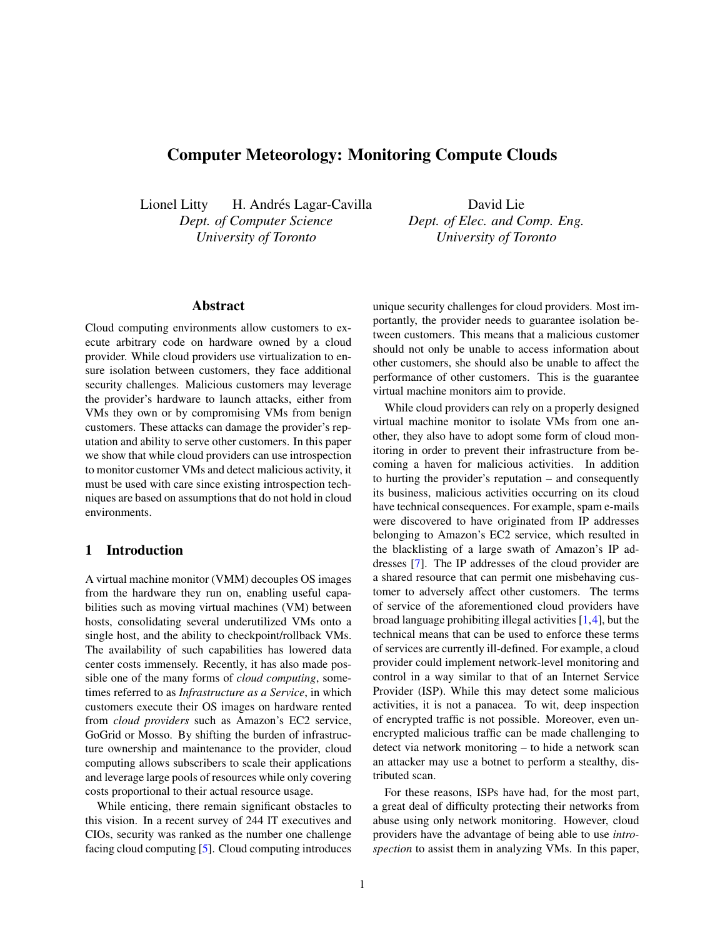# <span id="page-0-0"></span>Computer Meteorology: Monitoring Compute Clouds

Lionel Litty H. Andrés Lagar-Cavilla *Dept. of Computer Science University of Toronto*

David Lie *Dept. of Elec. and Comp. Eng. University of Toronto*

# Abstract

Cloud computing environments allow customers to execute arbitrary code on hardware owned by a cloud provider. While cloud providers use virtualization to ensure isolation between customers, they face additional security challenges. Malicious customers may leverage the provider's hardware to launch attacks, either from VMs they own or by compromising VMs from benign customers. These attacks can damage the provider's reputation and ability to serve other customers. In this paper we show that while cloud providers can use introspection to monitor customer VMs and detect malicious activity, it must be used with care since existing introspection techniques are based on assumptions that do not hold in cloud environments.

## 1 Introduction

A virtual machine monitor (VMM) decouples OS images from the hardware they run on, enabling useful capabilities such as moving virtual machines (VM) between hosts, consolidating several underutilized VMs onto a single host, and the ability to checkpoint/rollback VMs. The availability of such capabilities has lowered data center costs immensely. Recently, it has also made possible one of the many forms of *cloud computing*, sometimes referred to as *Infrastructure as a Service*, in which customers execute their OS images on hardware rented from *cloud providers* such as Amazon's EC2 service, GoGrid or Mosso. By shifting the burden of infrastructure ownership and maintenance to the provider, cloud computing allows subscribers to scale their applications and leverage large pools of resources while only covering costs proportional to their actual resource usage.

While enticing, there remain significant obstacles to this vision. In a recent survey of 244 IT executives and CIOs, security was ranked as the number one challenge facing cloud computing [5]. Cloud computing introduces unique security challenges for cloud providers. Most importantly, the provider needs to guarantee isolation between customers. This means that a malicious customer should not only be unable to access information about other customers, she should also be unable to affect the performance of other customers. This is the guarantee virtual machine monitors aim to provide.

While cloud providers can rely on a properly designed virtual machine monitor to isolate VMs from one another, they also have to adopt some form of cloud monitoring in order to prevent their infrastructure from becoming a haven for malicious activities. In addition to hurting the provider's reputation – and consequently its business, malicious activities occurring on its cloud have technical consequences. For example, spam e-mails were discovered to have originated from IP addresses belonging to Amazon's EC2 service, which resulted in the blacklisting of a large swath of Amazon's IP addresses [7]. The IP addresses of the cloud provider are a shared resource that can permit one misbehaving customer to adversely affect other customers. The terms of service of the aforementioned cloud providers have broad language prohibiting illegal activities [1,4], but the technical means that can be used to enforce these terms of services are currently ill-defined. For example, a cloud provider could implement network-level monitoring and control in a way similar to that of an Internet Service Provider (ISP). While this may detect some malicious activities, it is not a panacea. To wit, deep inspection of encrypted traffic is not possible. Moreover, even unencrypted malicious traffic can be made challenging to detect via network monitoring – to hide a network scan an attacker may use a botnet to perform a stealthy, distributed scan.

For these reasons, ISPs have had, for the most part, a great deal of difficulty protecting their networks from abuse using only network monitoring. However, cloud providers have the advantage of being able to use *introspection* to assist them in analyzing VMs. In this paper,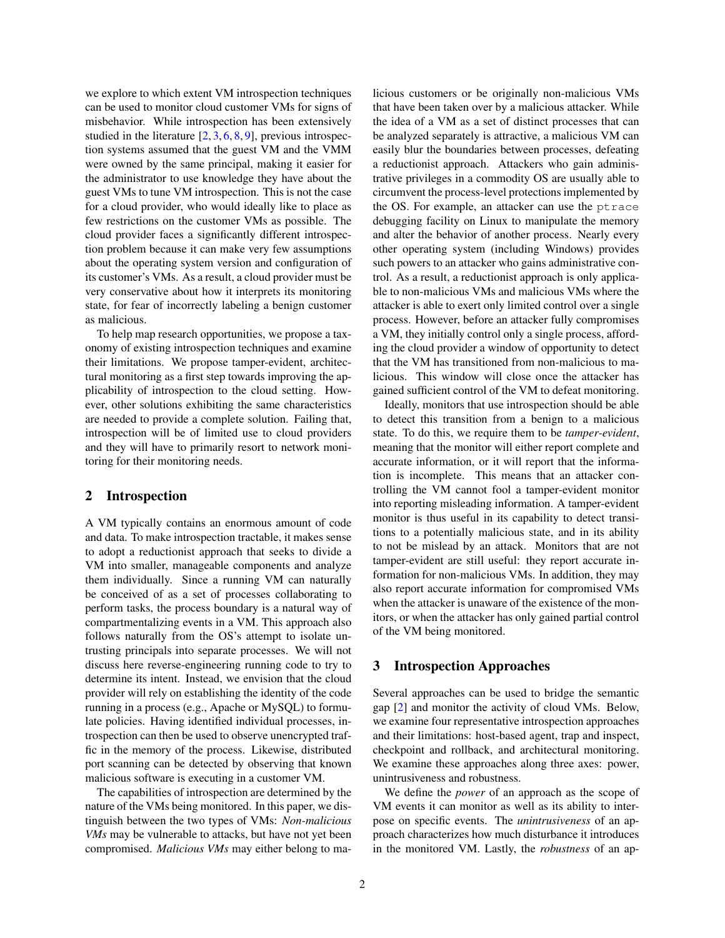we explore to which extent VM introspection techniques can be used to monitor cloud customer VMs for signs of misbehavior. While introspection has been extensively studied in the literature  $[2, 3, 6, 8, 9]$  $[2, 3, 6, 8, 9]$  $[2, 3, 6, 8, 9]$  $[2, 3, 6, 8, 9]$  $[2, 3, 6, 8, 9]$  $[2, 3, 6, 8, 9]$  $[2, 3, 6, 8, 9]$  $[2, 3, 6, 8, 9]$  $[2, 3, 6, 8, 9]$ , previous introspection systems assumed that the guest VM and the VMM were owned by the same principal, making it easier for the administrator to use knowledge they have about the guest VMs to tune VM introspection. This is not the case for a cloud provider, who would ideally like to place as few restrictions on the customer VMs as possible. The cloud provider faces a significantly different introspection problem because it can make very few assumptions about the operating system version and configuration of its customer's VMs. As a result, a cloud provider must be very conservative about how it interprets its monitoring state, for fear of incorrectly labeling a benign customer as malicious.

To help map research opportunities, we propose a taxonomy of existing introspection techniques and examine their limitations. We propose tamper-evident, architectural monitoring as a first step towards improving the applicability of introspection to the cloud setting. However, other solutions exhibiting the same characteristics are needed to provide a complete solution. Failing that, introspection will be of limited use to cloud providers and they will have to primarily resort to network monitoring for their monitoring needs.

#### 2 Introspection

A VM typically contains an enormous amount of code and data. To make introspection tractable, it makes sense to adopt a reductionist approach that seeks to divide a VM into smaller, manageable components and analyze them individually. Since a running VM can naturally be conceived of as a set of processes collaborating to perform tasks, the process boundary is a natural way of compartmentalizing events in a VM. This approach also follows naturally from the OS's attempt to isolate untrusting principals into separate processes. We will not discuss here reverse-engineering running code to try to determine its intent. Instead, we envision that the cloud provider will rely on establishing the identity of the code running in a process (e.g., Apache or MySQL) to formulate policies. Having identified individual processes, introspection can then be used to observe unencrypted traffic in the memory of the process. Likewise, distributed port scanning can be detected by observing that known malicious software is executing in a customer VM.

The capabilities of introspection are determined by the nature of the VMs being monitored. In this paper, we distinguish between the two types of VMs: *Non-malicious VMs* may be vulnerable to attacks, but have not yet been compromised. *Malicious VMs* may either belong to malicious customers or be originally non-malicious VMs that have been taken over by a malicious attacker. While the idea of a VM as a set of distinct processes that can be analyzed separately is attractive, a malicious VM can easily blur the boundaries between processes, defeating a reductionist approach. Attackers who gain administrative privileges in a commodity OS are usually able to circumvent the process-level protections implemented by the OS. For example, an attacker can use the ptrace debugging facility on Linux to manipulate the memory and alter the behavior of another process. Nearly every other operating system (including Windows) provides such powers to an attacker who gains administrative control. As a result, a reductionist approach is only applicable to non-malicious VMs and malicious VMs where the attacker is able to exert only limited control over a single process. However, before an attacker fully compromises a VM, they initially control only a single process, affording the cloud provider a window of opportunity to detect that the VM has transitioned from non-malicious to malicious. This window will close once the attacker has gained sufficient control of the VM to defeat monitoring.

Ideally, monitors that use introspection should be able to detect this transition from a benign to a malicious state. To do this, we require them to be *tamper-evident*, meaning that the monitor will either report complete and accurate information, or it will report that the information is incomplete. This means that an attacker controlling the VM cannot fool a tamper-evident monitor into reporting misleading information. A tamper-evident monitor is thus useful in its capability to detect transitions to a potentially malicious state, and in its ability to not be mislead by an attack. Monitors that are not tamper-evident are still useful: they report accurate information for non-malicious VMs. In addition, they may also report accurate information for compromised VMs when the attacker is unaware of the existence of the monitors, or when the attacker has only gained partial control of the VM being monitored.

#### 3 Introspection Approaches

Several approaches can be used to bridge the semantic gap [\[2\]](#page-0-0) and monitor the activity of cloud VMs. Below, we examine four representative introspection approaches and their limitations: host-based agent, trap and inspect, checkpoint and rollback, and architectural monitoring. We examine these approaches along three axes: power, unintrusiveness and robustness.

We define the *power* of an approach as the scope of VM events it can monitor as well as its ability to interpose on specific events. The *unintrusiveness* of an approach characterizes how much disturbance it introduces in the monitored VM. Lastly, the *robustness* of an ap-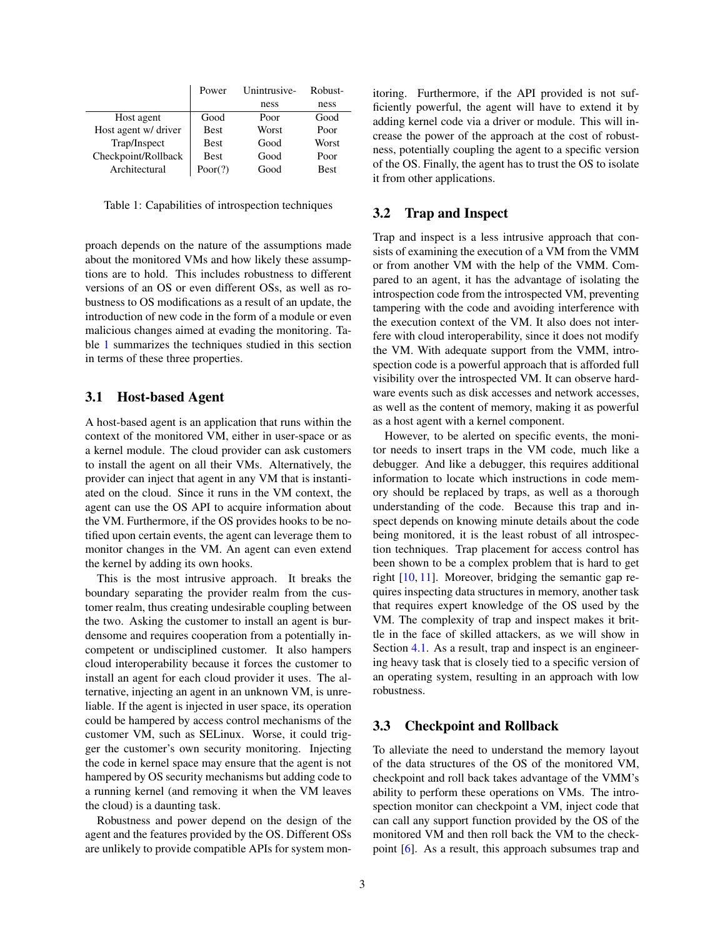|                      | Power       | Unintrusive- | Robust-     |
|----------------------|-------------|--------------|-------------|
|                      |             | ness         | ness        |
| Host agent           | Good        | Poor         | Good        |
| Host agent w/ driver | <b>Best</b> | Worst        | Poor        |
| Trap/Inspect         | <b>Best</b> | Good         | Worst       |
| Checkpoint/Rollback  | <b>Best</b> | Good         | Poor        |
| Architectural        | Poor(?)     | Good         | <b>Best</b> |

<span id="page-2-0"></span>Table 1: Capabilities of introspection techniques

proach depends on the nature of the assumptions made about the monitored VMs and how likely these assumptions are to hold. This includes robustness to different versions of an OS or even different OSs, as well as robustness to OS modifications as a result of an update, the introduction of new code in the form of a module or even malicious changes aimed at evading the monitoring. Table [1](#page-2-0) summarizes the techniques studied in this section in terms of these three properties.

## 3.1 Host-based Agent

A host-based agent is an application that runs within the context of the monitored VM, either in user-space or as a kernel module. The cloud provider can ask customers to install the agent on all their VMs. Alternatively, the provider can inject that agent in any VM that is instantiated on the cloud. Since it runs in the VM context, the agent can use the OS API to acquire information about the VM. Furthermore, if the OS provides hooks to be notified upon certain events, the agent can leverage them to monitor changes in the VM. An agent can even extend the kernel by adding its own hooks.

This is the most intrusive approach. It breaks the boundary separating the provider realm from the customer realm, thus creating undesirable coupling between the two. Asking the customer to install an agent is burdensome and requires cooperation from a potentially incompetent or undisciplined customer. It also hampers cloud interoperability because it forces the customer to install an agent for each cloud provider it uses. The alternative, injecting an agent in an unknown VM, is unreliable. If the agent is injected in user space, its operation could be hampered by access control mechanisms of the customer VM, such as SELinux. Worse, it could trigger the customer's own security monitoring. Injecting the code in kernel space may ensure that the agent is not hampered by OS security mechanisms but adding code to a running kernel (and removing it when the VM leaves the cloud) is a daunting task.

Robustness and power depend on the design of the agent and the features provided by the OS. Different OSs are unlikely to provide compatible APIs for system monitoring. Furthermore, if the API provided is not sufficiently powerful, the agent will have to extend it by adding kernel code via a driver or module. This will increase the power of the approach at the cost of robustness, potentially coupling the agent to a specific version of the OS. Finally, the agent has to trust the OS to isolate it from other applications.

### 3.2 Trap and Inspect

Trap and inspect is a less intrusive approach that consists of examining the execution of a VM from the VMM or from another VM with the help of the VMM. Compared to an agent, it has the advantage of isolating the introspection code from the introspected VM, preventing tampering with the code and avoiding interference with the execution context of the VM. It also does not interfere with cloud interoperability, since it does not modify the VM. With adequate support from the VMM, introspection code is a powerful approach that is afforded full visibility over the introspected VM. It can observe hardware events such as disk accesses and network accesses, as well as the content of memory, making it as powerful as a host agent with a kernel component.

However, to be alerted on specific events, the monitor needs to insert traps in the VM code, much like a debugger. And like a debugger, this requires additional information to locate which instructions in code memory should be replaced by traps, as well as a thorough understanding of the code. Because this trap and inspect depends on knowing minute details about the code being monitored, it is the least robust of all introspection techniques. Trap placement for access control has been shown to be a complex problem that is hard to get right [\[10,](#page-0-0) [11\]](#page-0-0). Moreover, bridging the semantic gap requires inspecting data structures in memory, another task that requires expert knowledge of the OS used by the VM. The complexity of trap and inspect makes it brittle in the face of skilled attackers, as we will show in Section [4.1.](#page-3-0) As a result, trap and inspect is an engineering heavy task that is closely tied to a specific version of an operating system, resulting in an approach with low robustness.

## 3.3 Checkpoint and Rollback

To alleviate the need to understand the memory layout of the data structures of the OS of the monitored VM, checkpoint and roll back takes advantage of the VMM's ability to perform these operations on VMs. The introspection monitor can checkpoint a VM, inject code that can call any support function provided by the OS of the monitored VM and then roll back the VM to the checkpoint [\[6\]](#page-0-0). As a result, this approach subsumes trap and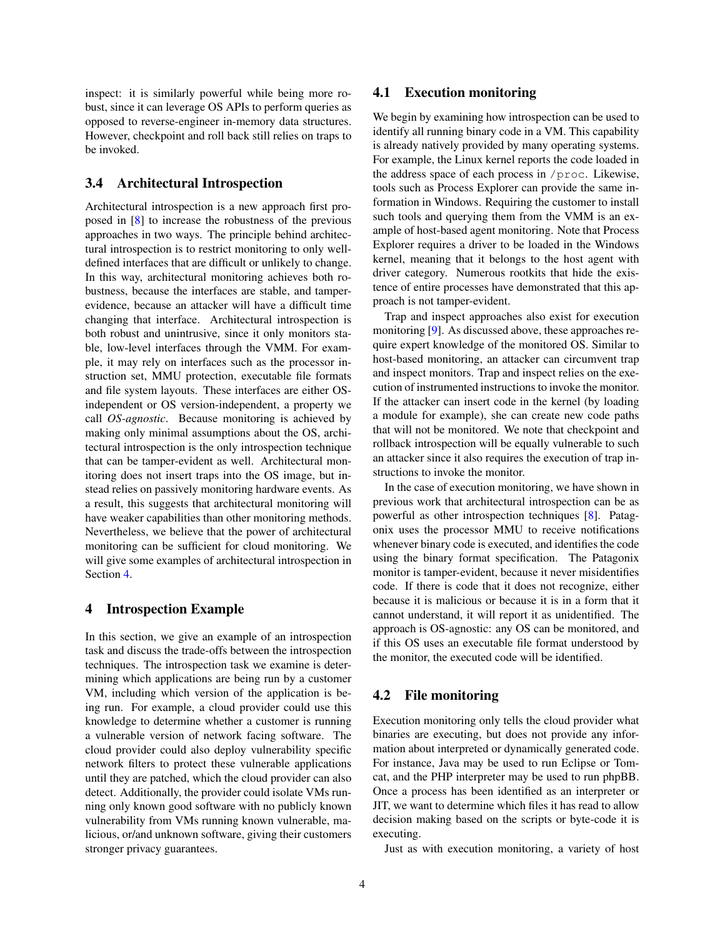inspect: it is similarly powerful while being more robust, since it can leverage OS APIs to perform queries as opposed to reverse-engineer in-memory data structures. However, checkpoint and roll back still relies on traps to be invoked.

### 3.4 Architectural Introspection

Architectural introspection is a new approach first proposed in [\[8\]](#page-0-0) to increase the robustness of the previous approaches in two ways. The principle behind architectural introspection is to restrict monitoring to only welldefined interfaces that are difficult or unlikely to change. In this way, architectural monitoring achieves both robustness, because the interfaces are stable, and tamperevidence, because an attacker will have a difficult time changing that interface. Architectural introspection is both robust and unintrusive, since it only monitors stable, low-level interfaces through the VMM. For example, it may rely on interfaces such as the processor instruction set, MMU protection, executable file formats and file system layouts. These interfaces are either OSindependent or OS version-independent, a property we call *OS-agnostic*. Because monitoring is achieved by making only minimal assumptions about the OS, architectural introspection is the only introspection technique that can be tamper-evident as well. Architectural monitoring does not insert traps into the OS image, but instead relies on passively monitoring hardware events. As a result, this suggests that architectural monitoring will have weaker capabilities than other monitoring methods. Nevertheless, we believe that the power of architectural monitoring can be sufficient for cloud monitoring. We will give some examples of architectural introspection in Section [4.](#page-3-1)

### <span id="page-3-1"></span>4 Introspection Example

In this section, we give an example of an introspection task and discuss the trade-offs between the introspection techniques. The introspection task we examine is determining which applications are being run by a customer VM, including which version of the application is being run. For example, a cloud provider could use this knowledge to determine whether a customer is running a vulnerable version of network facing software. The cloud provider could also deploy vulnerability specific network filters to protect these vulnerable applications until they are patched, which the cloud provider can also detect. Additionally, the provider could isolate VMs running only known good software with no publicly known vulnerability from VMs running known vulnerable, malicious, or/and unknown software, giving their customers stronger privacy guarantees.

### <span id="page-3-0"></span>4.1 Execution monitoring

We begin by examining how introspection can be used to identify all running binary code in a VM. This capability is already natively provided by many operating systems. For example, the Linux kernel reports the code loaded in the address space of each process in /proc. Likewise, tools such as Process Explorer can provide the same information in Windows. Requiring the customer to install such tools and querying them from the VMM is an example of host-based agent monitoring. Note that Process Explorer requires a driver to be loaded in the Windows kernel, meaning that it belongs to the host agent with driver category. Numerous rootkits that hide the existence of entire processes have demonstrated that this approach is not tamper-evident.

Trap and inspect approaches also exist for execution monitoring [\[9\]](#page-0-0). As discussed above, these approaches require expert knowledge of the monitored OS. Similar to host-based monitoring, an attacker can circumvent trap and inspect monitors. Trap and inspect relies on the execution of instrumented instructions to invoke the monitor. If the attacker can insert code in the kernel (by loading a module for example), she can create new code paths that will not be monitored. We note that checkpoint and rollback introspection will be equally vulnerable to such an attacker since it also requires the execution of trap instructions to invoke the monitor.

In the case of execution monitoring, we have shown in previous work that architectural introspection can be as powerful as other introspection techniques [\[8\]](#page-0-0). Patagonix uses the processor MMU to receive notifications whenever binary code is executed, and identifies the code using the binary format specification. The Patagonix monitor is tamper-evident, because it never misidentifies code. If there is code that it does not recognize, either because it is malicious or because it is in a form that it cannot understand, it will report it as unidentified. The approach is OS-agnostic: any OS can be monitored, and if this OS uses an executable file format understood by the monitor, the executed code will be identified.

### 4.2 File monitoring

Execution monitoring only tells the cloud provider what binaries are executing, but does not provide any information about interpreted or dynamically generated code. For instance, Java may be used to run Eclipse or Tomcat, and the PHP interpreter may be used to run phpBB. Once a process has been identified as an interpreter or JIT, we want to determine which files it has read to allow decision making based on the scripts or byte-code it is executing.

Just as with execution monitoring, a variety of host